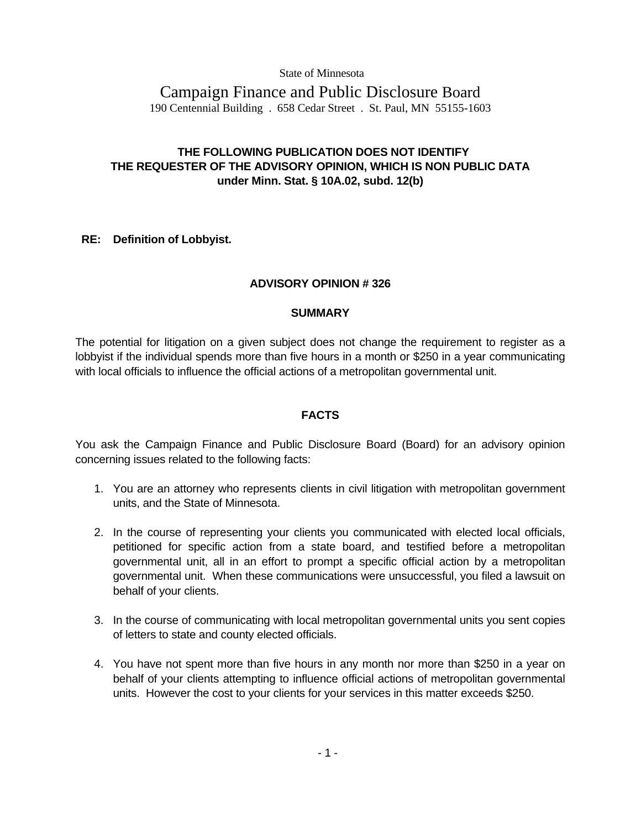State of Minnesota

# Campaign Finance and Public Disclosure Board 190 Centennial Building . 658 Cedar Street . St. Paul, MN 55155-1603

# **THE FOLLOWING PUBLICATION DOES NOT IDENTIFY THE REQUESTER OF THE ADVISORY OPINION, WHICH IS NON PUBLIC DATA under Minn. Stat. § 10A.02, subd. 12(b)**

# **RE: Definition of Lobbyist.**

# **ADVISORY OPINION # 326**

#### **SUMMARY**

The potential for litigation on a given subject does not change the requirement to register as a lobbyist if the individual spends more than five hours in a month or \$250 in a year communicating with local officials to influence the official actions of a metropolitan governmental unit.

# **FACTS**

You ask the Campaign Finance and Public Disclosure Board (Board) for an advisory opinion concerning issues related to the following facts:

- 1. You are an attorney who represents clients in civil litigation with metropolitan government units, and the State of Minnesota.
- 2. In the course of representing your clients you communicated with elected local officials, petitioned for specific action from a state board, and testified before a metropolitan governmental unit, all in an effort to prompt a specific official action by a metropolitan governmental unit. When these communications were unsuccessful, you filed a lawsuit on behalf of your clients.
- 3. In the course of communicating with local metropolitan governmental units you sent copies of letters to state and county elected officials.
- 4. You have not spent more than five hours in any month nor more than \$250 in a year on behalf of your clients attempting to influence official actions of metropolitan governmental units. However the cost to your clients for your services in this matter exceeds \$250.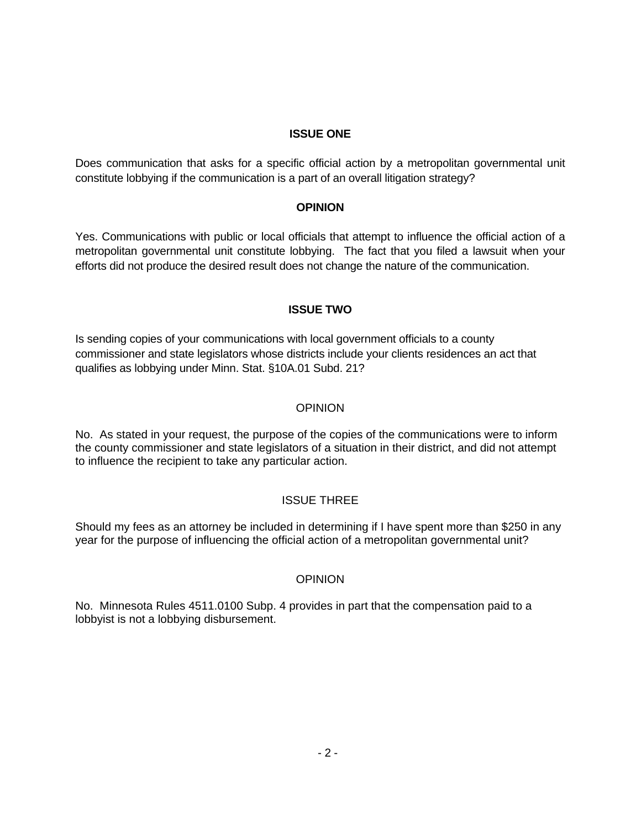#### **ISSUE ONE**

Does communication that asks for a specific official action by a metropolitan governmental unit constitute lobbying if the communication is a part of an overall litigation strategy?

#### **OPINION**

Yes. Communications with public or local officials that attempt to influence the official action of a metropolitan governmental unit constitute lobbying. The fact that you filed a lawsuit when your efforts did not produce the desired result does not change the nature of the communication.

# **ISSUE TWO**

Is sending copies of your communications with local government officials to a county commissioner and state legislators whose districts include your clients residences an act that qualifies as lobbying under Minn. Stat. §10A.01 Subd. 21?

# **OPINION**

No. As stated in your request, the purpose of the copies of the communications were to inform the county commissioner and state legislators of a situation in their district, and did not attempt to influence the recipient to take any particular action.

# ISSUE THREE

Should my fees as an attorney be included in determining if I have spent more than \$250 in any year for the purpose of influencing the official action of a metropolitan governmental unit?

# **OPINION**

No. Minnesota Rules 4511.0100 Subp. 4 provides in part that the compensation paid to a lobbyist is not a lobbying disbursement.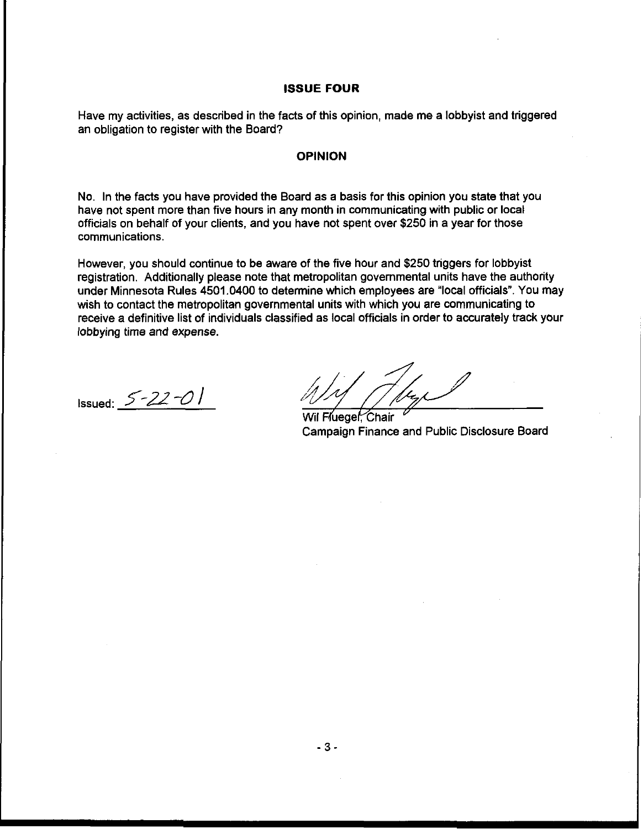#### **ISSUE FOUR**

Have my activities, as described in the facts of this opinion, made me a lobbyist and triggered an obligation to register with the Board?

#### **OPINION**

No. In the facts you have provided the Board as a basis for this opinion you state that you have not spent more than five hours in any month in communicating with public or local officials on behalf of your clients, and you have not spent over \$250 in a year for those communications.

However, you should continue to be aware of the five hour and \$250 triggers for lobbyist registration. Additionally please note that metropolitan governmental units have the authority under Minnesota Rules 4501.0400 to determine which employees are "local officials". You may wish to contact the metropolitan governmental units with which you are communicating to receive a definitive list of individuals classified as local officials in order to accurately track your lobbying time and expense.

Issued: *5-22* -0 /

Wil Fluegel: Chair Campaign Finance and Public Disclosure Board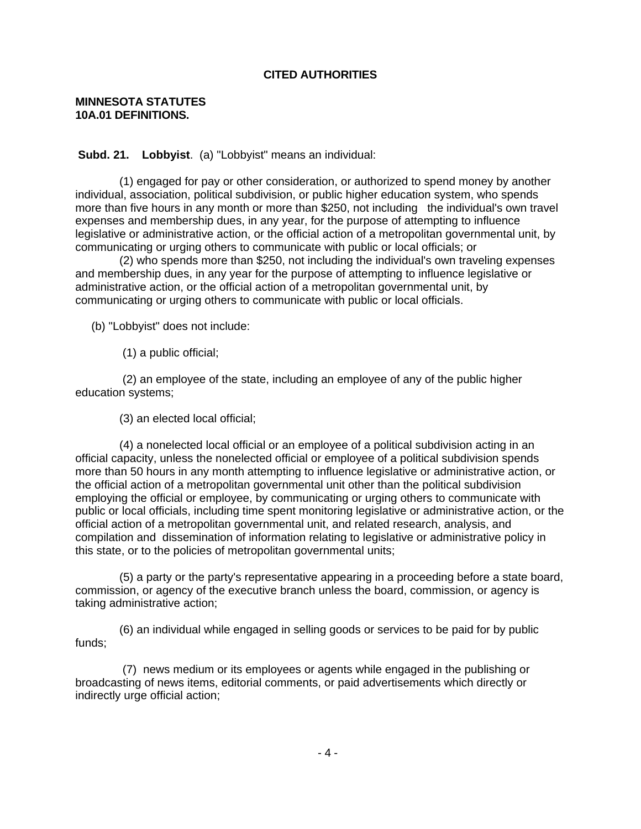# **CITED AUTHORITIES**

#### **MINNESOTA STATUTES 10A.01 DEFINITIONS.**

**Subd. 21. Lobbyist**. (a) "Lobbyist" means an individual:

 (1) engaged for pay or other consideration, or authorized to spend money by another individual, association, political subdivision, or public higher education system, who spends more than five hours in any month or more than \$250, not including the individual's own travel expenses and membership dues, in any year, for the purpose of attempting to influence legislative or administrative action, or the official action of a metropolitan governmental unit, by communicating or urging others to communicate with public or local officials; or

 (2) who spends more than \$250, not including the individual's own traveling expenses and membership dues, in any year for the purpose of attempting to influence legislative or administrative action, or the official action of a metropolitan governmental unit, by communicating or urging others to communicate with public or local officials.

(b) "Lobbyist" does not include:

(1) a public official;

 (2) an employee of the state, including an employee of any of the public higher education systems;

(3) an elected local official;

 (4) a nonelected local official or an employee of a political subdivision acting in an official capacity, unless the nonelected official or employee of a political subdivision spends more than 50 hours in any month attempting to influence legislative or administrative action, or the official action of a metropolitan governmental unit other than the political subdivision employing the official or employee, by communicating or urging others to communicate with public or local officials, including time spent monitoring legislative or administrative action, or the official action of a metropolitan governmental unit, and related research, analysis, and compilation and dissemination of information relating to legislative or administrative policy in this state, or to the policies of metropolitan governmental units;

 (5) a party or the party's representative appearing in a proceeding before a state board, commission, or agency of the executive branch unless the board, commission, or agency is taking administrative action;

 (6) an individual while engaged in selling goods or services to be paid for by public funds;

 (7) news medium or its employees or agents while engaged in the publishing or broadcasting of news items, editorial comments, or paid advertisements which directly or indirectly urge official action;